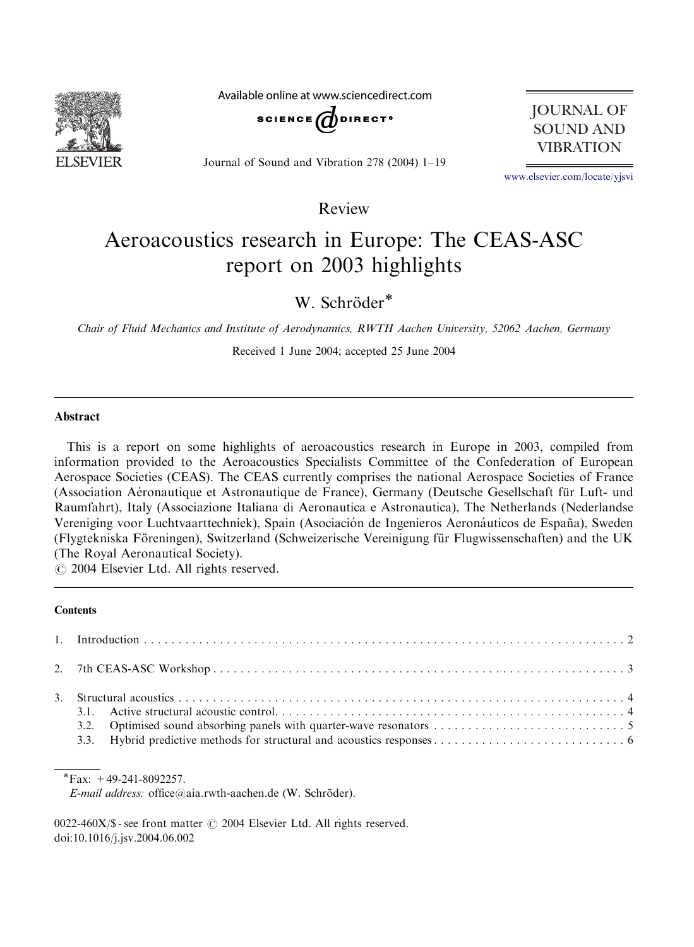

Available online at www.sciencedirect.com





www.elsevier.com/locate/yjsvi

Journal of Sound and Vibration 278 (2004) 1–19

Review

# Aeroacoustics research in Europe: The CEAS-ASC report on 2003 highlights

W. Schröder\*

Chair of Fluid Mechanics and Institute of Aerodynamics, RWTH Aachen University, 52062 Aachen, Germany

Received 1 June 2004; accepted 25 June 2004

# Abstract

This is a report on some highlights of aeroacoustics research in Europe in 2003, compiled from information provided to the Aeroacoustics Specialists Committee of the Confederation of European Aerospace Societies (CEAS). The CEAS currently comprises the national Aerospace Societies of France (Association Aéronautique et Astronautique de France), Germany (Deutsche Gesellschaft für Luft- und Raumfahrt), Italy (Associazione Italiana di Aeronautica e Astronautica), The Netherlands (Nederlandse Vereniging voor Luchtvaarttechniek), Spain (Asociación de Ingenieros Aeronáuticos de España), Sweden (Flygtekniska Föreningen), Switzerland (Schweizerische Vereinigung für Flugwissenschaften) and the UK (The Royal Aeronautical Society).

 $O$  2004 Elsevier Ltd. All rights reserved.

# **Contents**

 $*$ Fax: +49-241-8092257.

E-mail address: office@aia.rwth-aachen.de (W. Schröder).

0022-460X/\$ - see front matter  $\odot$  2004 Elsevier Ltd. All rights reserved. doi:10.1016/j.jsv.2004.06.002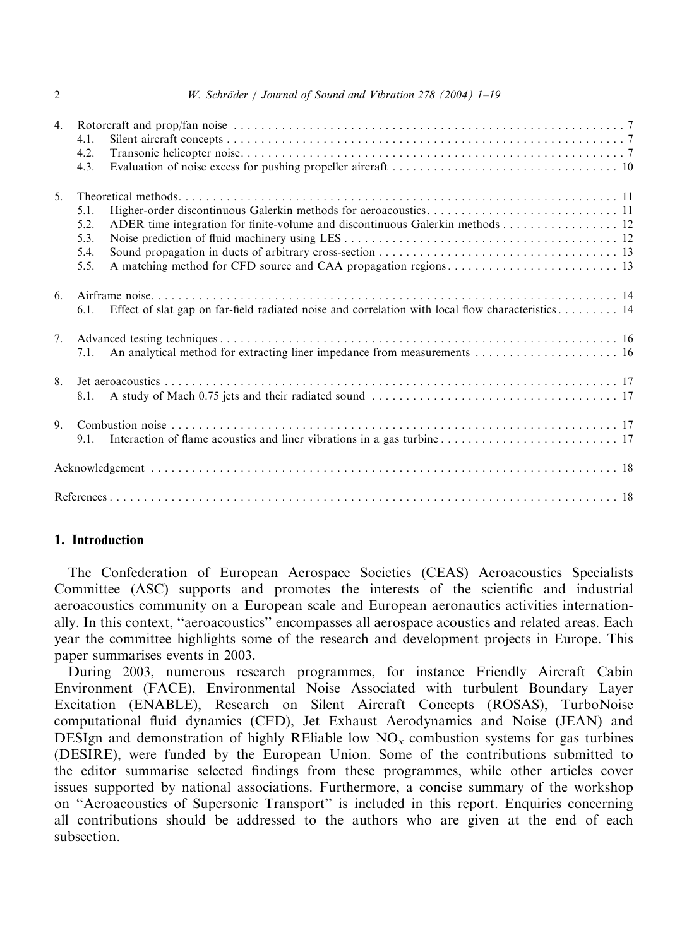| 4.             | 4.1.<br>4.2.<br>4.3.                                                                                      |
|----------------|-----------------------------------------------------------------------------------------------------------|
| 5 <sub>1</sub> |                                                                                                           |
|                | 5.1.                                                                                                      |
|                | ADER time integration for finite-volume and discontinuous Galerkin methods 12<br>5.2.<br>5.3.             |
|                | 5.4.                                                                                                      |
|                | 5.5.                                                                                                      |
| 6.             |                                                                                                           |
|                | Effect of slat gap on far-field radiated noise and correlation with local flow characteristics 14<br>6.1. |
| 7.             |                                                                                                           |
|                | 7.1.                                                                                                      |
| 8.             |                                                                                                           |
|                | 8.1.                                                                                                      |
| 9.             |                                                                                                           |
|                | 9.1.                                                                                                      |
|                |                                                                                                           |
|                |                                                                                                           |

# 1. Introduction

The Confederation of European Aerospace Societies (CEAS) Aeroacoustics Specialists Committee (ASC) supports and promotes the interests of the scientific and industrial aeroacoustics community on a European scale and European aeronautics activities internationally. In this context, ''aeroacoustics'' encompasses all aerospace acoustics and related areas. Each year the committee highlights some of the research and development projects in Europe. This paper summarises events in 2003.

During 2003, numerous research programmes, for instance Friendly Aircraft Cabin Environment (FACE), Environmental Noise Associated with turbulent Boundary Layer Excitation (ENABLE), Research on Silent Aircraft Concepts (ROSAS), TurboNoise computational fluid dynamics (CFD), Jet Exhaust Aerodynamics and Noise (JEAN) and DESIgn and demonstration of highly REIable low  $NO<sub>x</sub>$  combustion systems for gas turbines (DESIRE), were funded by the European Union. Some of the contributions submitted to the editor summarise selected findings from these programmes, while other articles cover issues supported by national associations. Furthermore, a concise summary of the workshop on ''Aeroacoustics of Supersonic Transport'' is included in this report. Enquiries concerning all contributions should be addressed to the authors who are given at the end of each subsection.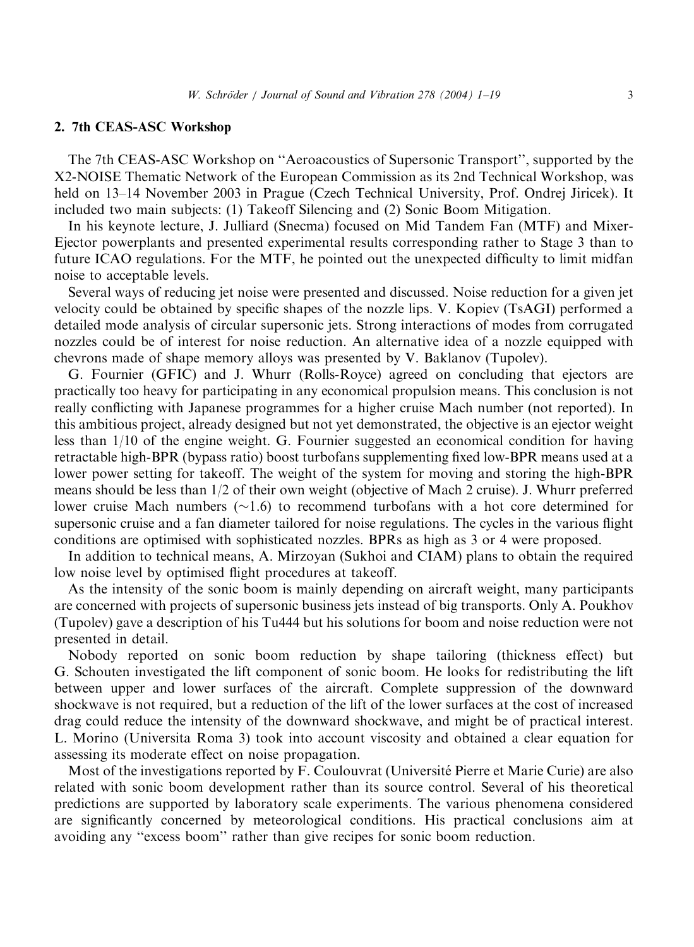## 2. 7th CEAS-ASC Workshop

The 7th CEAS-ASC Workshop on ''Aeroacoustics of Supersonic Transport'', supported by the X2-NOISE Thematic Network of the European Commission as its 2nd Technical Workshop, was held on 13–14 November 2003 in Prague (Czech Technical University, Prof. Ondrej Jiricek). It included two main subjects: (1) Takeoff Silencing and (2) Sonic Boom Mitigation.

In his keynote lecture, J. Julliard (Snecma) focused on Mid Tandem Fan (MTF) and Mixer-Ejector powerplants and presented experimental results corresponding rather to Stage 3 than to future ICAO regulations. For the MTF, he pointed out the unexpected difficulty to limit midfan noise to acceptable levels.

Several ways of reducing jet noise were presented and discussed. Noise reduction for a given jet velocity could be obtained by specific shapes of the nozzle lips. V. Kopiev (TsAGI) performed a detailed mode analysis of circular supersonic jets. Strong interactions of modes from corrugated nozzles could be of interest for noise reduction. An alternative idea of a nozzle equipped with chevrons made of shape memory alloys was presented by V. Baklanov (Tupolev).

G. Fournier (GFIC) and J. Whurr (Rolls-Royce) agreed on concluding that ejectors are practically too heavy for participating in any economical propulsion means. This conclusion is not really conflicting with Japanese programmes for a higher cruise Mach number (not reported). In this ambitious project, already designed but not yet demonstrated, the objective is an ejector weight less than 1/10 of the engine weight. G. Fournier suggested an economical condition for having retractable high-BPR (bypass ratio) boost turbofans supplementing fixed low-BPR means used at a lower power setting for takeoff. The weight of the system for moving and storing the high-BPR means should be less than 1/2 of their own weight (objective of Mach 2 cruise). J. Whurr preferred lower cruise Mach numbers ( $\sim$ 1.6) to recommend turbofans with a hot core determined for supersonic cruise and a fan diameter tailored for noise regulations. The cycles in the various flight conditions are optimised with sophisticated nozzles. BPRs as high as 3 or 4 were proposed.

In addition to technical means, A. Mirzoyan (Sukhoi and CIAM) plans to obtain the required low noise level by optimised flight procedures at takeoff.

As the intensity of the sonic boom is mainly depending on aircraft weight, many participants are concerned with projects of supersonic business jets instead of big transports. Only A. Poukhov (Tupolev) gave a description of his Tu444 but his solutions for boom and noise reduction were not presented in detail.

Nobody reported on sonic boom reduction by shape tailoring (thickness effect) but G. Schouten investigated the lift component of sonic boom. He looks for redistributing the lift between upper and lower surfaces of the aircraft. Complete suppression of the downward shockwave is not required, but a reduction of the lift of the lower surfaces at the cost of increased drag could reduce the intensity of the downward shockwave, and might be of practical interest. L. Morino (Universita Roma 3) took into account viscosity and obtained a clear equation for assessing its moderate effect on noise propagation.

Most of the investigations reported by F. Coulouvrat (Université Pierre et Marie Curie) are also related with sonic boom development rather than its source control. Several of his theoretical predictions are supported by laboratory scale experiments. The various phenomena considered are significantly concerned by meteorological conditions. His practical conclusions aim at avoiding any ''excess boom'' rather than give recipes for sonic boom reduction.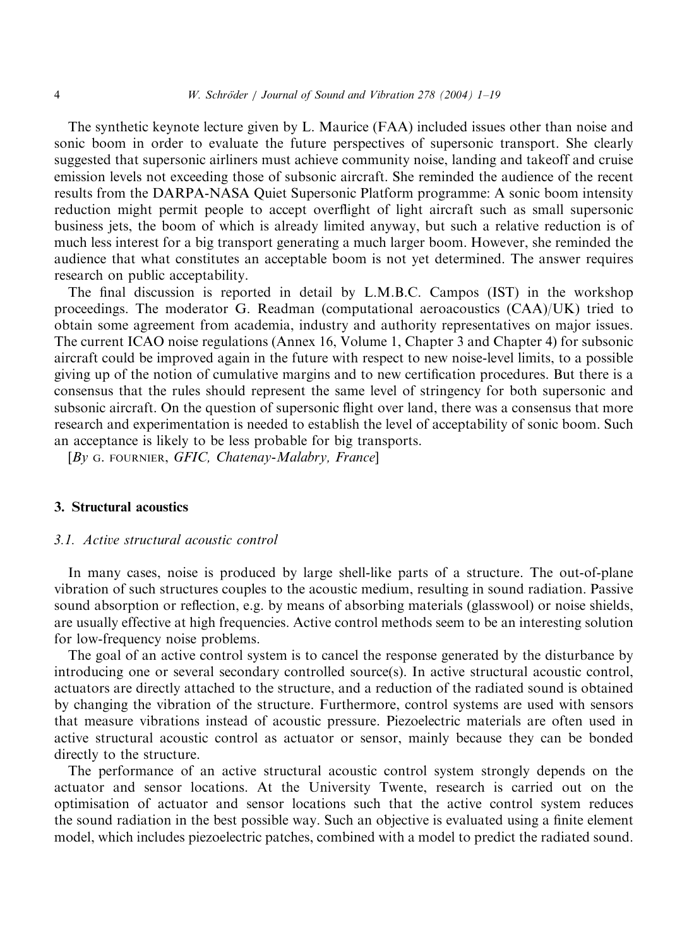The synthetic keynote lecture given by L. Maurice (FAA) included issues other than noise and sonic boom in order to evaluate the future perspectives of supersonic transport. She clearly suggested that supersonic airliners must achieve community noise, landing and takeoff and cruise emission levels not exceeding those of subsonic aircraft. She reminded the audience of the recent results from the DARPA-NASA Quiet Supersonic Platform programme: A sonic boom intensity reduction might permit people to accept overflight of light aircraft such as small supersonic business jets, the boom of which is already limited anyway, but such a relative reduction is of much less interest for a big transport generating a much larger boom. However, she reminded the audience that what constitutes an acceptable boom is not yet determined. The answer requires research on public acceptability.

The final discussion is reported in detail by L.M.B.C. Campos (IST) in the workshop proceedings. The moderator G. Readman (computational aeroacoustics (CAA)/UK) tried to obtain some agreement from academia, industry and authority representatives on major issues. The current ICAO noise regulations (Annex 16, Volume 1, Chapter 3 and Chapter 4) for subsonic aircraft could be improved again in the future with respect to new noise-level limits, to a possible giving up of the notion of cumulative margins and to new certification procedures. But there is a consensus that the rules should represent the same level of stringency for both supersonic and subsonic aircraft. On the question of supersonic flight over land, there was a consensus that more research and experimentation is needed to establish the level of acceptability of sonic boom. Such an acceptance is likely to be less probable for big transports.

[By G. FOURNIER, GFIC, Chatenay-Malabry, France]

# 3. Structural acoustics

# 3.1. Active structural acoustic control

In many cases, noise is produced by large shell-like parts of a structure. The out-of-plane vibration of such structures couples to the acoustic medium, resulting in sound radiation. Passive sound absorption or reflection, e.g. by means of absorbing materials (glasswool) or noise shields, are usually effective at high frequencies. Active control methods seem to be an interesting solution for low-frequency noise problems.

The goal of an active control system is to cancel the response generated by the disturbance by introducing one or several secondary controlled source(s). In active structural acoustic control, actuators are directly attached to the structure, and a reduction of the radiated sound is obtained by changing the vibration of the structure. Furthermore, control systems are used with sensors that measure vibrations instead of acoustic pressure. Piezoelectric materials are often used in active structural acoustic control as actuator or sensor, mainly because they can be bonded directly to the structure.

The performance of an active structural acoustic control system strongly depends on the actuator and sensor locations. At the University Twente, research is carried out on the optimisation of actuator and sensor locations such that the active control system reduces the sound radiation in the best possible way. Such an objective is evaluated using a finite element model, which includes piezoelectric patches, combined with a model to predict the radiated sound.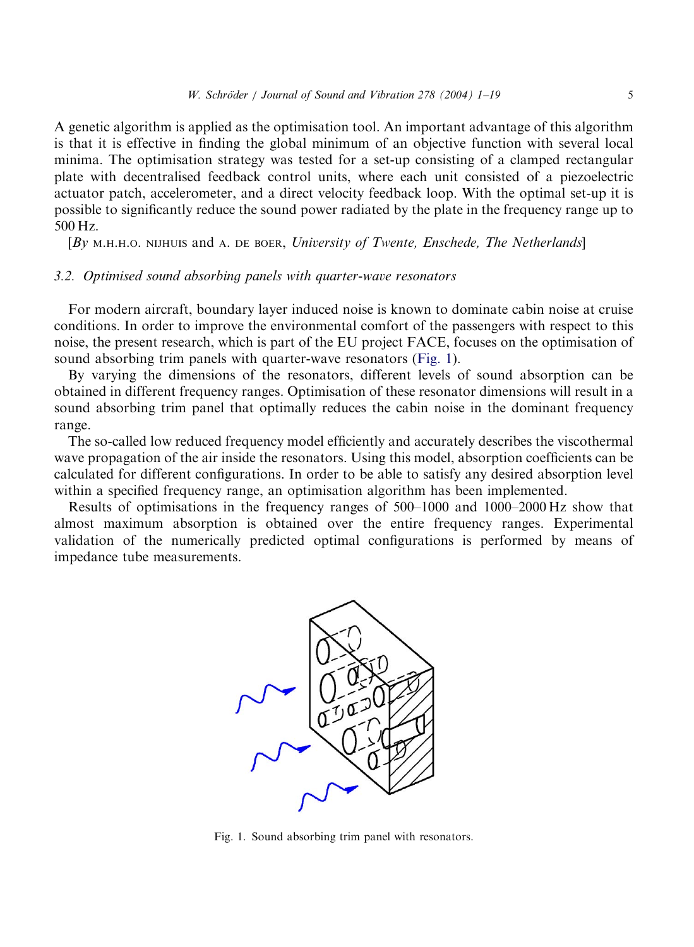A genetic algorithm is applied as the optimisation tool. An important advantage of this algorithm is that it is effective in finding the global minimum of an objective function with several local minima. The optimisation strategy was tested for a set-up consisting of a clamped rectangular plate with decentralised feedback control units, where each unit consisted of a piezoelectric actuator patch, accelerometer, and a direct velocity feedback loop. With the optimal set-up it is possible to significantly reduce the sound power radiated by the plate in the frequency range up to 500 Hz.

 $[By \text{ M.H.H.O. }$  NIJHUIS and A. DE BOER, University of Twente, Enschede, The Netherlands

# 3.2. Optimised sound absorbing panels with quarter-wave resonators

For modern aircraft, boundary layer induced noise is known to dominate cabin noise at cruise conditions. In order to improve the environmental comfort of the passengers with respect to this noise, the present research, which is part of the EU project FACE, focuses on the optimisation of sound absorbing trim panels with quarter-wave resonators (Fig. 1).

By varying the dimensions of the resonators, different levels of sound absorption can be obtained in different frequency ranges. Optimisation of these resonator dimensions will result in a sound absorbing trim panel that optimally reduces the cabin noise in the dominant frequency range.

The so-called low reduced frequency model efficiently and accurately describes the viscothermal wave propagation of the air inside the resonators. Using this model, absorption coefficients can be calculated for different configurations. In order to be able to satisfy any desired absorption level within a specified frequency range, an optimisation algorithm has been implemented.

Results of optimisations in the frequency ranges of 500–1000 and 1000–2000 Hz show that almost maximum absorption is obtained over the entire frequency ranges. Experimental validation of the numerically predicted optimal configurations is performed by means of impedance tube measurements.



Fig. 1. Sound absorbing trim panel with resonators.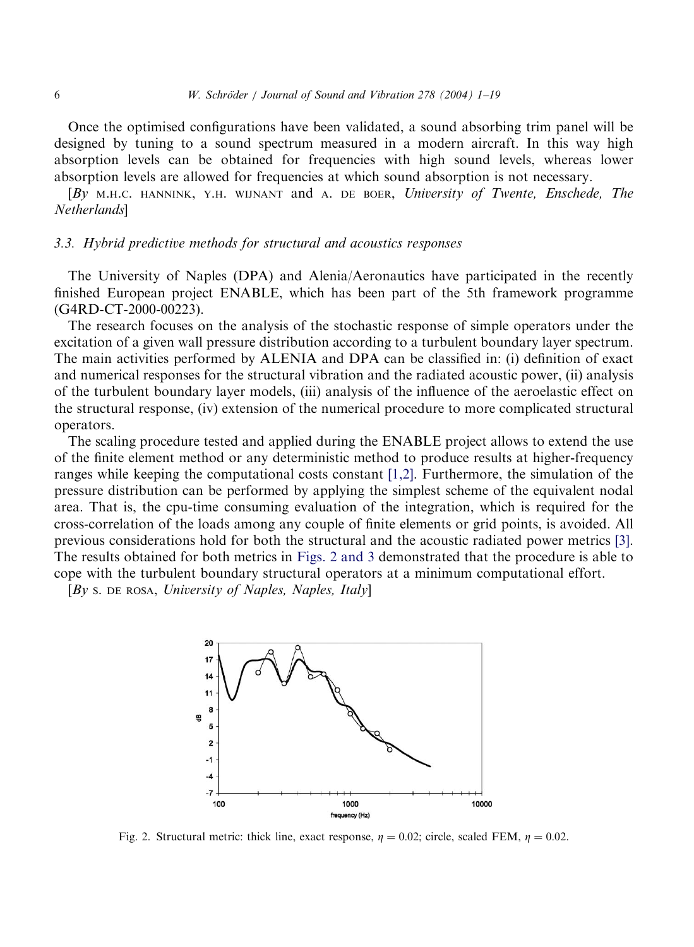Once the optimised configurations have been validated, a sound absorbing trim panel will be designed by tuning to a sound spectrum measured in a modern aircraft. In this way high absorption levels can be obtained for frequencies with high sound levels, whereas lower absorption levels are allowed for frequencies at which sound absorption is not necessary.

 $[By$  M.H.C. HANNINK, Y.H. WIJNANT and A. DE BOER, University of Twente, Enschede, The Netherlands]

# 3.3. Hybrid predictive methods for structural and acoustics responses

The University of Naples (DPA) and Alenia/Aeronautics have participated in the recently finished European project ENABLE, which has been part of the 5th framework programme (G4RD-CT-2000-00223).

The research focuses on the analysis of the stochastic response of simple operators under the excitation of a given wall pressure distribution according to a turbulent boundary layer spectrum. The main activities performed by ALENIA and DPA can be classified in: (i) definition of exact and numerical responses for the structural vibration and the radiated acoustic power, (ii) analysis of the turbulent boundary layer models, (iii) analysis of the influence of the aeroelastic effect on the structural response, (iv) extension of the numerical [proce](#page-17-0)dure to more complicated structural operators.

The scaling procedure tested and applied during the ENABLE project allows to extend the use of the finite element method or any deterministic method to produce results at higher-frequency ranges while keeping the computational costs constant [1,2]. Furthermore, the simulation of [the](#page-17-0) pressure distribution can be performed by applying the simplest scheme of the equivalent nodal area. That is, the cpu-time consuming evaluation of the integration, which is required for the cross-correlation of the loads among any couple of finite elements or grid points, is avoided. All previous considerations hold for both the structural and the acoustic radiated power metrics [3]. The results obtained for both metrics in Figs. 2 and 3 demonstrated that the procedure is able to cope with the turbulent boundary structural operators at a minimum computational effort.

 $[By s. DE ROSA, University of Naples, Naples, Italy]$ 



Fig. 2. Structural metric: thick line, exact response,  $\eta = 0.02$ ; circle, scaled FEM,  $\eta = 0.02$ .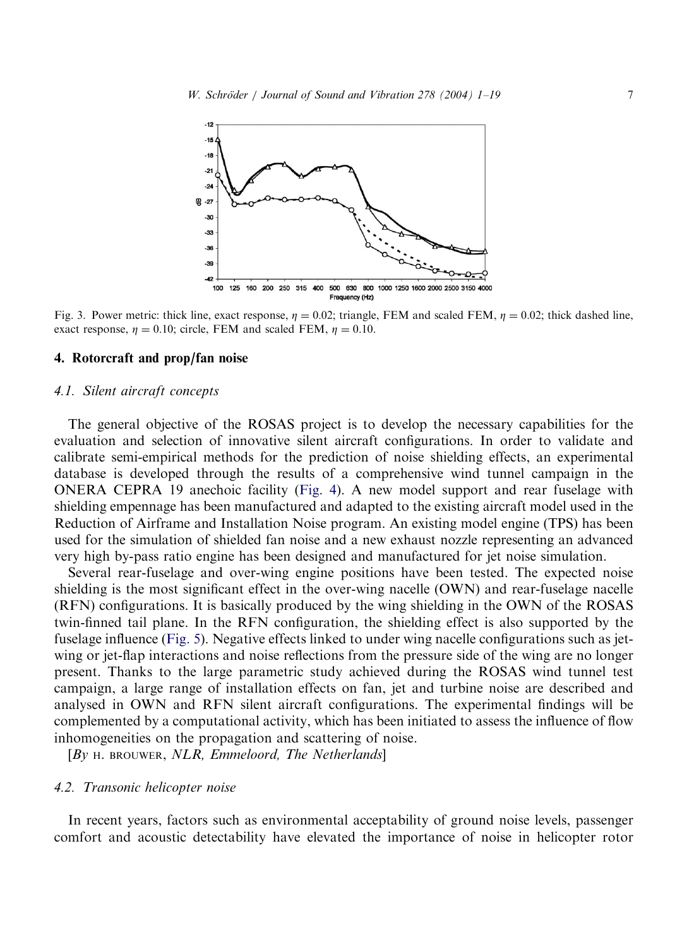

Fig. 3. Power metric: thick line, exact response,  $\eta = 0.02$ ; triangle, FEM and scaled FEM,  $\eta = 0.02$ ; thick dashed line, exact response,  $\eta = 0.10$ ; circle, FEM and scaled FEM,  $\eta = 0.10$ .

# 4. Rotorcraft and prop/fan noise

#### 4.1. Silent aircraft concepts

The general objective of the ROSAS [projec](#page-7-0)t is to develop the necessary capabilities for the evaluation and selection of innovative silent aircraft configurations. In order to validate and calibrate semi-empirical methods for the prediction of noise shielding effects, an experimental database is developed through the results of a comprehensive wind tunnel campaign in the ONERA CEPRA 19 anechoic facility (Fig. 4). A new model support and rear fuselage with shielding empennage has been manufactured and adapted to the existing aircraft model used in the Reduction of Airframe and Installation Noise program. An existing model engine (TPS) has been used for the simulation of shielded fan noise and a new exhaust nozzle representing an advanced very high by-pass ratio engine has been designed and manufactured for jet noise simulation.

Several rear-fus[elage](#page-7-0) and over-wing engine positions have been tested. The expected noise shielding is the most significant effect in the over-wing nacelle (OWN) and rear-fuselage nacelle (RFN) configurations. It is basically produced by the wing shielding in the OWN of the ROSAS twin-finned tail plane. In the RFN configuration, the shielding effect is also supported by the fuselage influence (Fig. 5). Negative effects linked to under wing nacelle configurations such as jetwing or jet-flap interactions and noise reflections from the pressure side of the wing are no longer present. Thanks to the large parametric study achieved during the ROSAS wind tunnel test campaign, a large range of installation effects on fan, jet and turbine noise are described and analysed in OWN and RFN silent aircraft configurations. The experimental findings will be complemented by a computational activity, which has been initiated to assess the influence of flow inhomogeneities on the propagation and scattering of noise.

 $[By H. BROUWER, NLR, Emmeloord, The Netherlands]$ 

## 4.2. Transonic helicopter noise

In recent years, factors such as environmental acceptability of ground noise levels, passenger comfort and acoustic detectability have elevated the importance of noise in helicopter rotor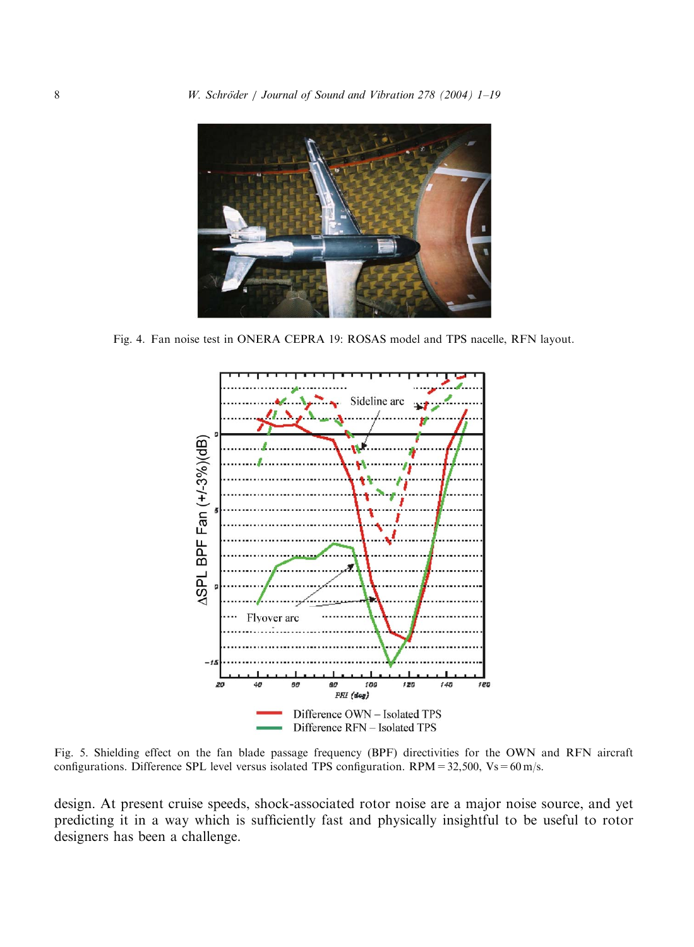<span id="page-7-0"></span>

Fig. 4. Fan noise test in ONERA CEPRA 19: ROSAS model and TPS nacelle, RFN layout.



Fig. 5. Shielding effect on the fan blade passage frequency (BPF) directivities for the OWN and RFN aircraft configurations. Difference SPL level versus isolated TPS configuration. RPM=32,500, Vs=60 m/s.

design. At present cruise speeds, shock-associated rotor noise are a major noise source, and yet predicting it in a way which is sufficiently fast and physically insightful to be useful to rotor designers has been a challenge.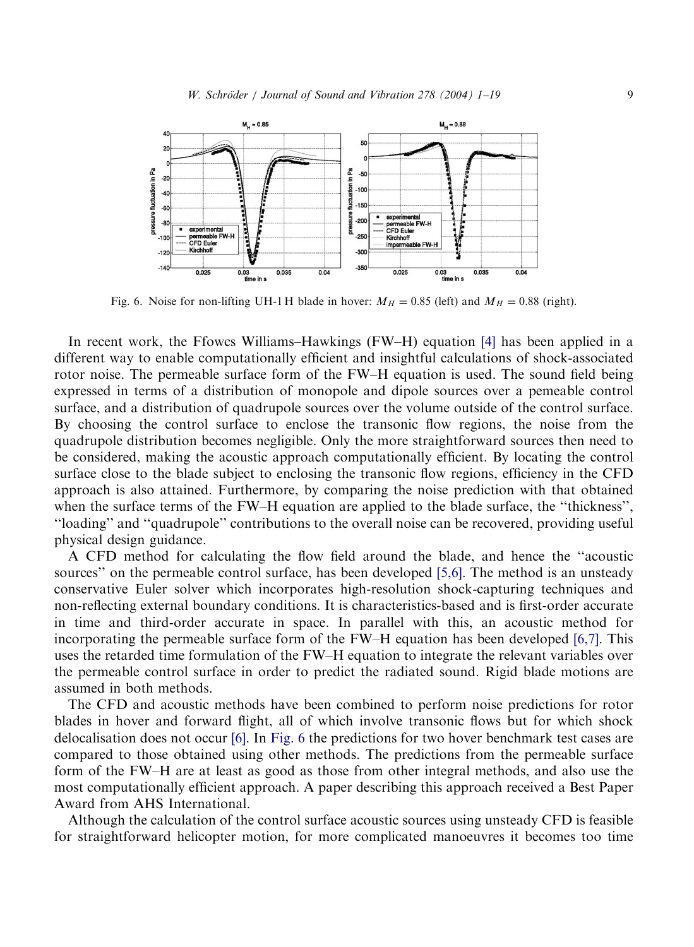

Fig. 6. Noise for non-lifting UH-1 H blade in hover:  $M_H = 0.85$  (left) and  $M_H = 0.88$  (right).

In recent work, the Ffowcs Williams–Hawkings (FW–H) equation [4] has been applied in a different way to enable computationally efficient and insightful calculations of shock-associated rotor noise. The permeable surface form of the FW–H equation is used. The sound field being expressed in terms of a distribution of monopole and dipole sources over a pemeable control surface, and a distribution of quadrupole sources over the volume outside of the control surface. By choosing the control surface to enclose the transonic flow regions, the noise from the quadrupole distribution becomes negligible. Only the more straightforward sources then need to be considered, making the acoustic approach computationally efficient. By locating the control surface close to the blade subject to enclosing the transonic flow regions, efficiency in the CFD approach is also attained. Furthermore, by comparing the noise prediction with that obtained when the surface terms of the FW–H equation are applied to t[he bla](#page-17-0)de surface, the ''thickness'', ''loading'' and ''quadrupole'' contributions to the overall noise can be recovered, providing useful physical design guidance.

A CFD method for calculating the flow field around the blade, and hence the ''acoustic sources'' on the permeable control surface, has been developed [5,6]. The method is a[n uns](#page-17-0)teady conservative Euler solver which incorporates high-resolution shock-capturing techniques and non-reflecting external boundary conditions. It is characteristics-based and is first-order accurate in time and third-order accurate in space. In parallel with this, an acoustic method for incorporating the permeable surface form of the FW–H equation has been developed [6,7]. This uses the retarded time formulation of the FW–H equation to integrate the relevant variables over the permeable control surfac[e in](#page-17-0) order to predict the radiated sound. Rigid blade motions are assumed in both methods.

The CFD and acoustic methods have been combined to perform noise predictions for rotor blades in hover and forward flight, all of which involve transonic flows but for which shock delocalisation does not occur [6]. In Fig. 6 the predictions for two hover benchmark test cases are compared to those obtained using other methods. The predictions from the permeable surface form of the FW–H are at least as good as those from other integral methods, and also use the most computationally efficient approach. A paper describing this approach received a Best Paper Award from AHS International.

Although the calculation of the control surface acoustic sources using unsteady CFD is feasible for straightforward helicopter motion, for more complicated manoeuvres it becomes too time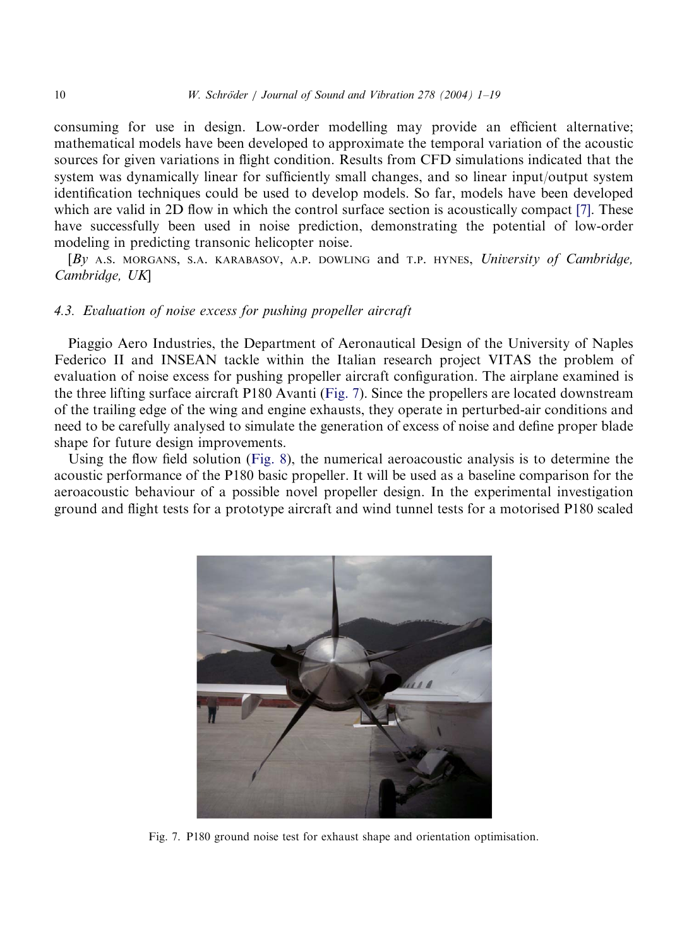consuming for use in design. Low-order modelling may provide an efficient alternative; mathematical models have been developed to approximate the temporal variation of th[e a](#page-17-0)coustic sources for given variations in flight condition. Results from CFD simulations indicated that the system was dynamically linear for sufficiently small changes, and so linear input/output system identification techniques could be used to develop models. So far, models have been developed which are valid in 2D flow in which the control surface section is acoustically compact [7]. These have successfully been used in noise prediction, demonstrating the potential of low-order modeling in predicting transonic helicopter noise.

[By A.S. MORGANS, S.A. KARABASOV, A.P. DOWLING and T.P. HYNES, University of Cambridge, Cambridge, UK]

# 4.3. Evaluation of noise excess for pushing propeller aircraft

Piaggio Aero Industries, the Department of Aeronautical Design of the University of Naples Federico II and INSEAN tackle within the Italian research project VITAS the problem of evaluation of noise excess for pushing propeller aircraft configuration. The airplane examined is the three lifting surface aircraft P[180 Av](#page-10-0)anti (Fig. 7). Since the propellers are located downstream of the trailing edge of the wing and engine exhausts, they operate in perturbed-air conditions and need to be carefully analysed to simulate the generation of excess of noise and define proper blade shape for future design improvements.

Using the flow field solution (Fig. 8), the numerical aeroacoustic analysis is to determine the acoustic performance of the P180 basic propeller. It will be used as a baseline comparison for the aeroacoustic behaviour of a possible novel propeller design. In the experimental investigation ground and flight tests for a prototype aircraft and wind tunnel tests for a motorised P180 scaled



Fig. 7. P180 ground noise test for exhaust shape and orientation optimisation.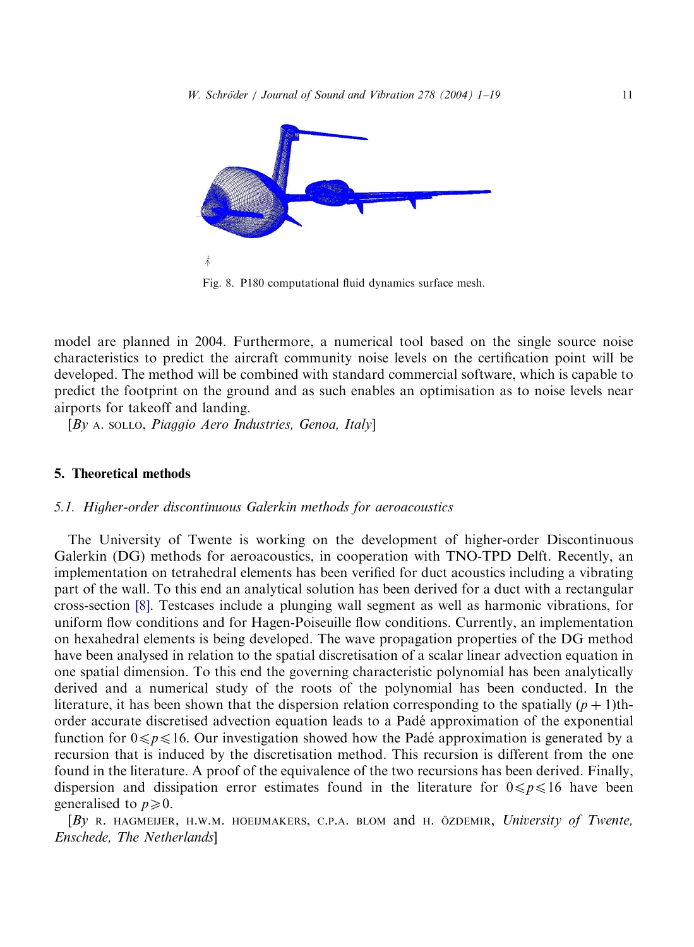<span id="page-10-0"></span>

Fig. 8. P180 computational fluid dynamics surface mesh.

model are planned in 2004. Furthermore, a numerical tool based on the single source noise characteristics to predict the aircraft community noise levels on the certification point will be developed. The method will be combined with standard commercial software, which is capable to predict the footprint on the ground and as such enables an optimisation as to noise levels near airports for takeoff and landing.

 $[By A. SOLU, Piaggio \text{ } Aero \text{ } Industries, \text{ } Genoa, \text{ } Italy]$ 

# 5. Theoretical methods

## 5.1. Higher-order discontinuous Galerkin methods for aeroacoustics

The Unive[rsit](#page-17-0)y of Twente is working on the development of higher-order Discontinuous Galerkin (DG) methods for aeroacoustics, in cooperation with TNO-TPD Delft. Recently, an implementation on tetrahedral elements has been verified for duct acoustics including a vibrating part of the wall. To this end an analytical solution has been derived for a duct with a rectangular cross-section [8]. Testcases include a plunging wall segment as well as harmonic vibrations, for uniform flow conditions and for Hagen-Poiseuille flow conditions. Currently, an implementation on hexahedral elements is being developed. The wave propagation properties of the DG method have been analysed in relation to the spatial discretisation of a scalar linear advection equation in one spatial dimension. To this end the governing characteristic polynomial has been analytically derived and a numerical study of the roots of the polynomial has been conducted. In the literature, it has been shown that the dispersion relation corresponding to the spatially  $(p + 1)$ thorder accurate discretised advection equation leads to a Pade´ approximation of the exponential function for  $0 \le p \le 16$ . Our investigation showed how the Padé approximation is generated by a recursion that is induced by the discretisation method. This recursion is different from the one found in the literature. A proof of the equivalence of the two recursions has been derived. Finally, dispersion and dissipation error estimates found in the literature for  $0 \le p \le 16$  have been generalised to  $p\geq0$ .

 $[By \nR. HAGMEUER, H.W.M. HOEUMAKERS, C.P.A. BLOM and H. ÖZDEMIR, *University of Twente*,$ Enschede, The Netherlands]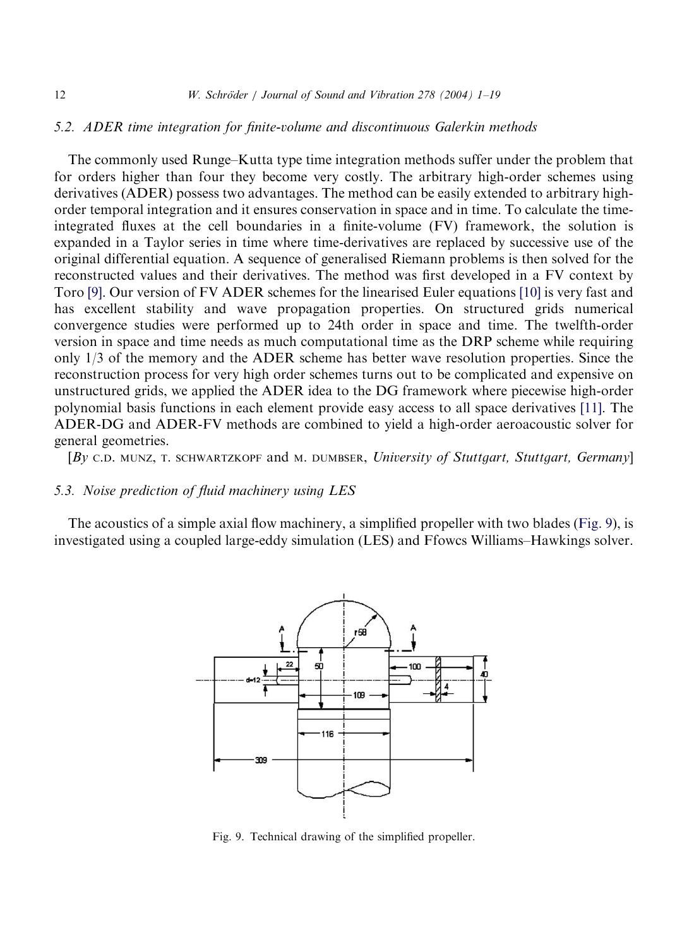#### 12 W. Schröder / Journal of Sound and Vibration 278 (2004) 1–19

# 5.2. ADER time integration for finite-volume and discontinuous Galerkin methods

The commonly used Runge–Kutta type time integration methods suffer under the problem that for orders higher than four they become very costly. The arbitrary high-order schemes using derivatives (ADER) possess two advantages. The method can be easily extended to arbitrary highorder temporal integration and it ensures conservation in space and in time. To calculate the timeinteg[rate](#page-17-0)d fluxes at the cell boundaries in a finite-volume (FV) framewo[rk,](#page-17-0) the solution is expanded in a Taylor series in time where time-derivatives are replaced by successive use of the original differential equation. A sequence of generalised Riemann problems is then solved for the reconstructed values and their derivatives. The method was first developed in a FV context by Toro [9]. Our version of FV ADER schemes for the linearised Euler equations [10] is very fast and has excellent stability and wave propagation properties. On structured grids numerical convergence studies were performed up to 24th order in space and time. The twelfth-order version in space and time needs as much computational time as the DRP scheme while [requ](#page-17-0)iring only 1/3 of the memory and the ADER scheme has better wave resolution properties. Since the reconstruction process for very high order schemes turns out to be complicated and expensive on unstructured grids, we applied the ADER idea to the DG framework where piecewise high-order polynomial basis functions in each element provide easy access to all space derivatives [11]. The ADER-DG and ADER-FV methods are combined to yield a high-order aeroacoustic solver for general geometries.

[By C.D. MUNZ, T. SCHWARTZKOPF and M. DUMBSER, University of Stuttgart, Stuttgart, Germany]

# 5.3. Noise prediction of fluid machinery using LES

The acoustics of a simple axial flow machinery, a simplified propeller with two blades (Fig. 9), is investigated using a coupled large-eddy simulation (LES) and Ffowcs Williams–Hawkings solver.



Fig. 9. Technical drawing of the simplified propeller.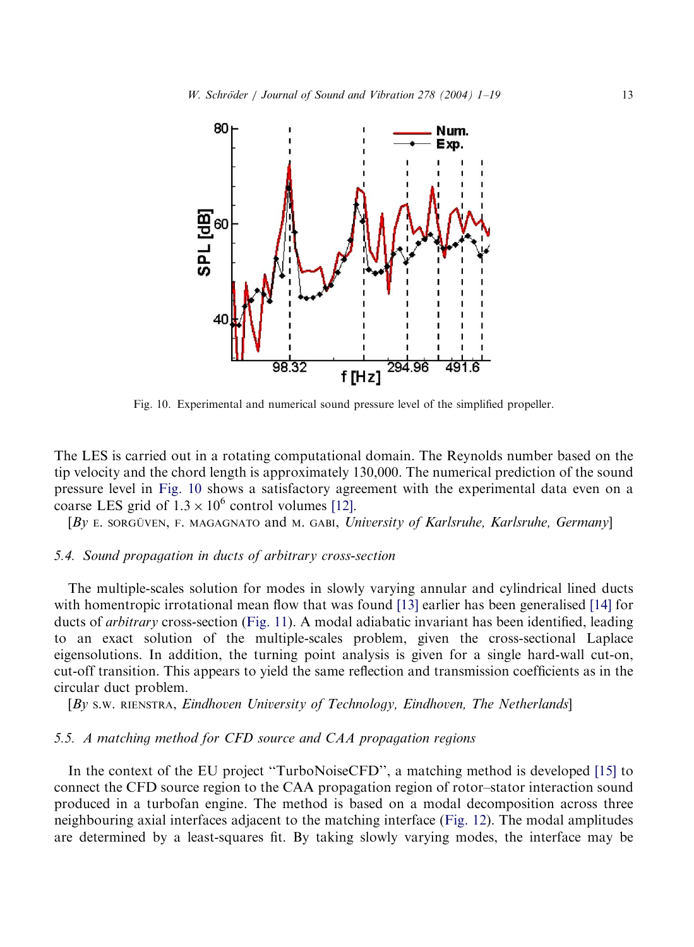

Fig. 10. Experimental and numerical sound pressure level of the simplified propeller.

The LES is carried out in a rotating computa[tiona](#page-17-0)l domain. The Reynolds number based on the tip velocity and the chord length is approximately 130,000. The numerical prediction of the sound pressure level in Fig. 10 shows a satisfactory agreement with the experimental data even on a coarse LES grid of  $1.3 \times 10^6$  control volumes [12].

 $[By E. SORGÜVEN, F. MAGAGNATO and M. GABI, *University of Karlsruhe, Karlsruhe, Germanv*]$ 

# 5.4. Sound propagation in ducts [of arbit](#page-13-0)rary cross-section

The multiple-scales solution for modes in slowly varying annular and cylindrical lined ducts with homentropic irrotational mean flow that was found [13] earlier has been generalised [14] for ducts of arbitrary cross-section (Fig. 11). A modal adiabatic invariant has been identified, leading to an exact solution of the multiple-scales problem, given the cross-sectional Laplace eigensolutions. In addition, the turning point analysis is given for a single hard-wall cut-on, cut-off transition. This appears to yield the same reflection and transmission coefficients as in the circular duct problem.

[By S.W. RIENSTRA, Eindhoven University of Technology, Eindhoven, The Netherlands]

# 5.5. A matching method for CFD source and CAA propagation regions

In the context of the EU project ''TurboNoiseCFD'', a match[ing](#page-13-0) [met](#page-13-0)hod is developed [15] to connect the CFD source region to the CAA propagation region of rotor–stator interaction sound produced in a turbofan engine. The method is based on a modal decomposition across three neighbouring axial interfaces adjacent to the matching interface (Fig. 12). The modal amplitudes are determined by a least-squares fit. By taking slowly varying modes, the interface may be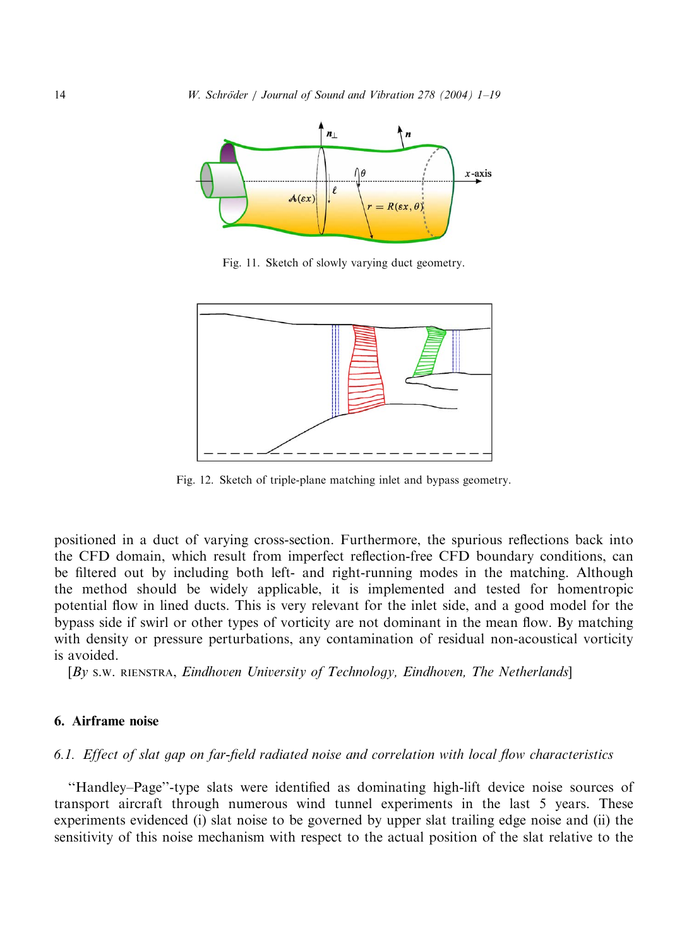<span id="page-13-0"></span>

Fig. 11. Sketch of slowly varying duct geometry.



Fig. 12. Sketch of triple-plane matching inlet and bypass geometry.

positioned in a duct of varying cross-section. Furthermore, the spurious reflections back into the CFD domain, which result from imperfect reflection-free CFD boundary conditions, can be filtered out by including both left- and right-running modes in the matching. Although the method should be widely applicable, it is implemented and tested for homentropic potential flow in lined ducts. This is very relevant for the inlet side, and a good model for the bypass side if swirl or other types of vorticity are not dominant in the mean flow. By matching with density or pressure perturbations, any contamination of residual non-acoustical vorticity is avoided.

[By S.W. RIENSTRA, Eindhoven University of Technology, Eindhoven, The Netherlands]

# 6. Airframe noise

# 6.1. Effect of slat gap on far-field radiated noise and correlation with local flow characteristics

''Handley–Page''-type slats were identified as dominating high-lift device noise sources of transport aircraft through numerous wind tunnel experiments in the last 5 years. These experiments evidenced (i) slat noise to be governed by upper slat trailing edge noise and (ii) the sensitivity of this noise mechanism with respect to the actual position of the slat relative to the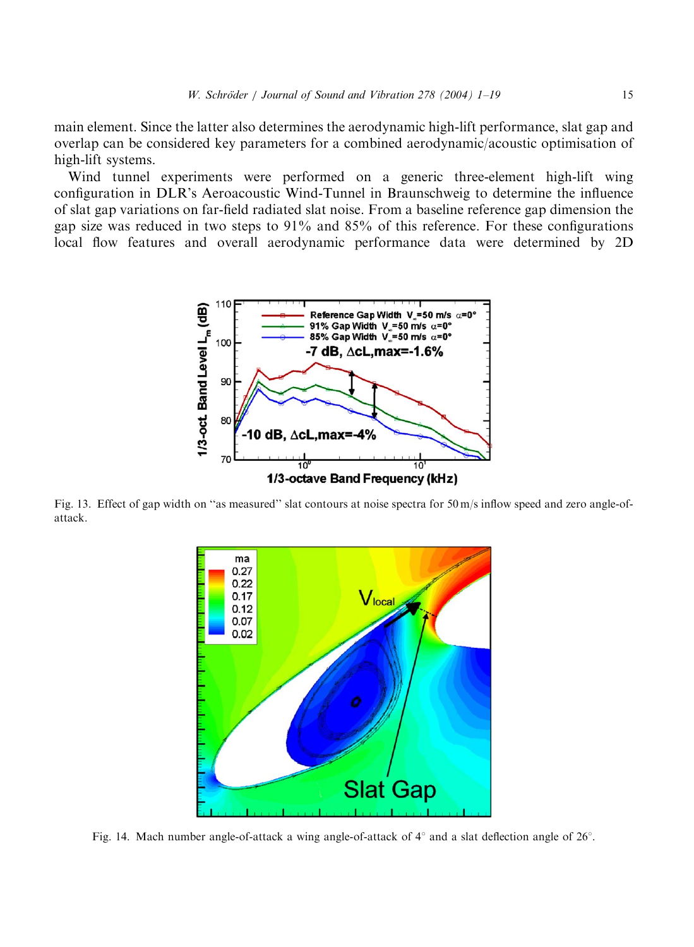<span id="page-14-0"></span>main element. Since the latter also determines the aerodynamic high-lift performance, slat gap and overlap can be considered key parameters for a combined aerodynamic/acoustic optimisation of high-lift systems.

Wind tunnel experiments were performed on a generic three-element high-lift wing configuration in DLR's Aeroacoustic Wind-Tunnel in Braunschweig to determine the influence of slat gap variations on far-field radiated slat noise. From a baseline reference gap dimension the gap size was reduced in two steps to 91% and 85% of this reference. For these configurations local flow features and overall aerodynamic performance data were determined by 2D



Fig. 13. Effect of gap width on "as measured" slat contours at noise spectra for 50 m/s inflow speed and zero angle-ofattack.



Fig. 14. Mach number angle-of-attack a wing angle-of-attack of  $4^\circ$  and a slat deflection angle of  $26^\circ$ .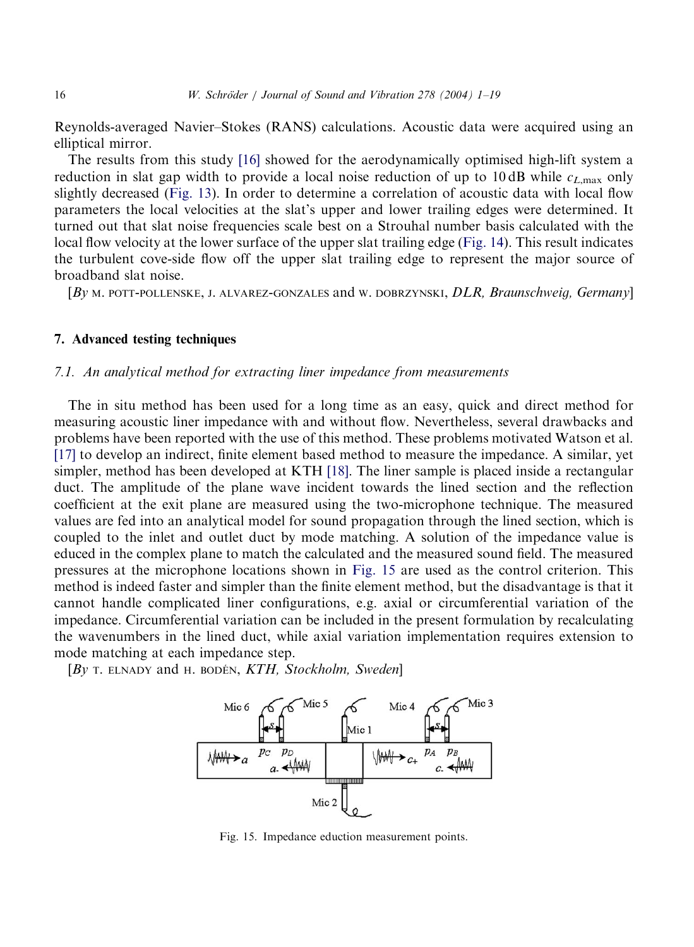Reynolds-averaged [Navier](#page-14-0)–Stokes (RANS) calculations. Acoustic data were acquired using an elliptical mirror.

The results from this study [16] showed for the aerodynamically optimised high-lift system a reduction in slat gap width to provide a local noise reduction of u[p to 10](#page-14-0) dB while  $c_{L,\text{max}}$  only slightly decreased (Fig. 13). In order to determine a correlation of acoustic data with local flow parameters the local velocities at the slat's upper and lower trailing edges were determined. It turned out that slat noise frequencies scale best on a Strouhal number basis calculated with the local flow velocity at the lower surface of the upper slat trailing edge (Fig. 14). This result indicates the turbulent cove-side flow off the upper slat trailing edge to represent the major source of broadband slat noise.

[By M. POTT-POLLENSKE, J. ALVAREZ-GONZALES and W. DOBRZYNSKI, DLR, Braunschweig, Germany]

# 7. Advanced testing techniques

# 7.1. An analytical method for extracting liner impedance from measurements

[T](#page-18-0)he in situ method has been used for a l[ong](#page-18-0) time as an easy, quick and direct method for measuring acoustic liner impedance with and without flow. Nevertheless, several drawbacks and problems have been reported with the use of this method. These problems motivated Watson et al. [17] to develop an indirect, finite element based method to measure the impedance. A similar, yet simpler, method has been developed at KTH [18]. The liner sample is placed inside a rectangular duct. The amplitude of the plane wave incident towards the lined section and the reflection coefficient at the exit plane are measured using the two-microphone technique. The measured values are fed into an analytical model for sound propagation through the lined section, which is coupled to the inlet and outlet duct by mode matching. A solution of the impedance value is educed in the complex plane to match the calculated and the measured sound field. The measured pressures at the microphone locations shown in Fig. 15 are used as the control criterion. This method is indeed faster and simpler than the finite element method, but the disadvantage is that it cannot handle complicated liner configurations, e.g. axial or circumferential variation of the impedance. Circumferential variation can be included in the present formulation by recalculating the wavenumbers in the lined duct, while axial variation implementation requires extension to mode matching at each impedance step.

[By T. ELNADY and H. BODÉN, KTH, Stockholm, Sweden]



Fig. 15. Impedance eduction measurement points.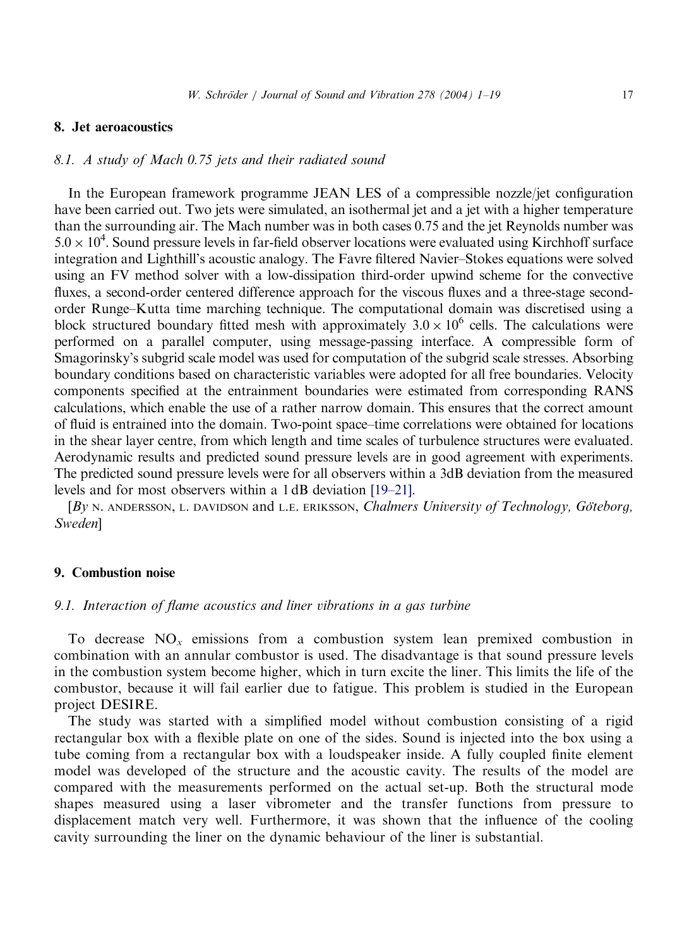# 8. Jet aeroacoustics

# 8.1. A study of Mach 0.75 jets and their radiated sound

In the European framework programme JEAN LES of a compressible nozzle/jet configuration have been carried out. Two jets were simulated, an isothermal jet and a jet with a higher temperature than the surrounding air. The Mach number was in both cases 0.75 and the jet Reynolds number was  $5.0 \times 10^4$ . Sound pressure levels in far-field observer locations were evaluated using Kirchhoff surface integration and Lighthill's acoustic analogy. The Favre filtered Navier–Stokes equations were solved using an FV method solver with a low-dissipation third-order upwind scheme for the convective fluxes, a second-order centered difference approach for the viscous fluxes and a three-stage secondorder Runge–Kutta time marching technique. The computational domain was discretised using a block structured boundary fitted mesh with approximately  $3.0 \times 10^6$  cells. The calculations were performed on a parallel computer, using message-passing interface. A compressible form of Smagorinsky's subgrid scale model was used for computation of the subgrid scale stresses. Absorbing boundary conditions based on characteristic variables were adopted for all free boundaries. Velocity components specified at the entrainment boundaries were estimated from corresponding RANS calculations, which enable the use of a rather narrow domain. This ensures that the correct amount of fluid is entrained into the domain. Two-point space[–time co](#page-18-0)rrelations were obtained for locations in the shear layer centre, from which length and time scales of turbulence structures were evaluated. Aerodynamic results and predicted sound pressure levels are in good agreement with experiments. The predicted sound pressure levels were for all observers within a 3dB deviation from the measured levels and for most observers within a 1 dB deviation [19–21].

 $[By \, N. \,$  ANDERSSON, L. DAVIDSON and L.E. ERIKSSON, *Chalmers University of Technology, Göteborg*, Sweden]

# 9. Combustion noise

#### 9.1. Interaction of flame acoustics and liner vibrations in a gas turbine

To decrease  $NO<sub>x</sub>$  emissions from a combustion system lean premixed combustion in combination with an annular combustor is used. The disadvantage is that sound pressure levels in the combustion system become higher, which in turn excite the liner. This limits the life of the combustor, because it will fail earlier due to fatigue. This problem is studied in the European project DESIRE.

The study was started with a simplified model without combustion consisting of a rigid rectangular box with a flexible plate on one of the sides. Sound is injected into the box using a tube coming from a rectangular box witha loudspeaker inside. A fully coupled finite element model was developed of the structure and the acoustic cavity. The results of the model are compared with the measurements performed on the actual set-up. Both the structural mode shapes measured using a laser vibrometer and the transfer functions from pressure to displacement match very well. Furthermore, it was shown that the influence of the cooling cavity surrounding the liner on the dynamic behaviour of the liner is substantial.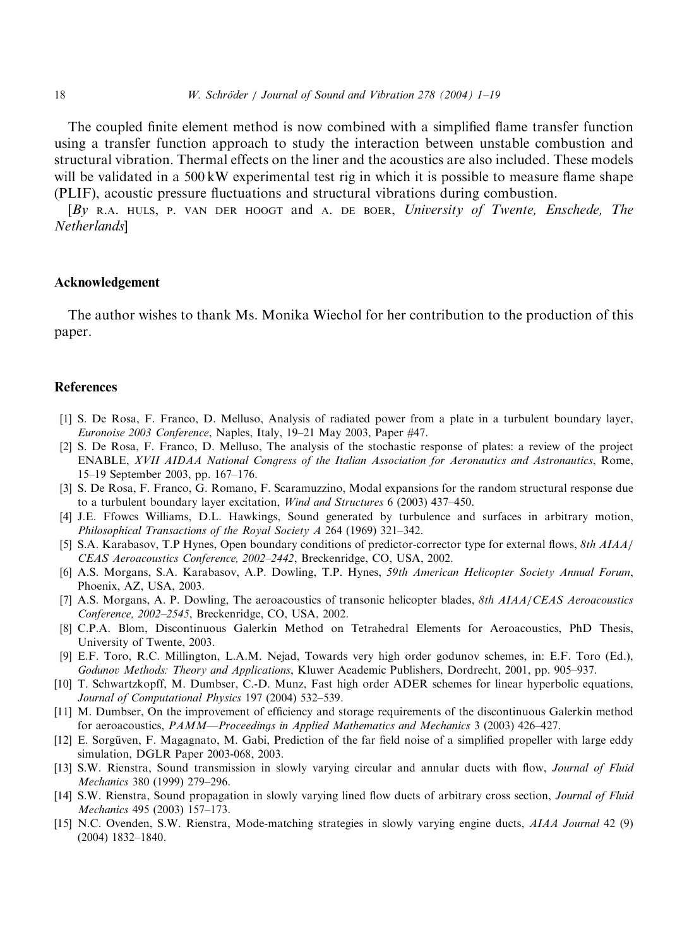<span id="page-17-0"></span>The coupled finite element method is now combined with a simplified flame transfer function using a transfer function approach to study the interaction between unstable combustion and structural vibration. Thermal effects on the liner and the acoustics are also included. These models will be validated in a 500 kW experimental test rig in which it is possible to measure flame shape (PLIF), acoustic pressure fluctuations and structural vibrations during combustion.

[By R.A. HULS, P. VAN DER HOOGT and A. DE BOER, University of Twente, Enschede, The Netherlands]

# Acknowledgement

The author wishes to thank Ms. Monika Wiechol for her contribution to the production of this paper.

#### **References**

- [1] S. De Rosa, F. Franco, D. Melluso, Analysis of radiated power from a plate in a turbulent boundary layer, Euronoise 2003 Conference, Naples, Italy, 19–21 May 2003, Paper #47.
- [2] S. De Rosa, F. Franco, D. Melluso, The analysis of the stochastic response of plates: a review of the project ENABLE, XVII AIDAA National Congress of the Italian Association for Aeronautics and Astronautics, Rome, 15–19 September 2003, pp. 167–176.
- [3] S. De Rosa, F. Franco, G. Romano, F. Scaramuzzino, Modal expansions for the random structural response due to a turbulent boundary layer excitation, Wind and Structures 6 (2003) 437–450.
- [4] J.E. Ffowcs Williams, D.L. Hawkings, Sound generated by turbulence and surfaces in arbitrary motion, Philosophical Transactions of the Royal Society A 264 (1969) 321–342.
- [5] S.A. Karabasov, T.P Hynes, Open boundary conditions of predictor-corrector type for external flows, 8th AIAA/ CEAS Aeroacoustics Conference, 2002–2442, Breckenridge, CO, USA, 2002.
- [6] A.S. Morgans, S.A. Karabasov, A.P. Dowling, T.P. Hynes, 59th American Helicopter Society Annual Forum, Phoenix, AZ, USA, 2003.
- [7] A.S. Morgans, A. P. Dowling, The aeroacoustics of transonic helicopter blades, 8th AIAA/CEAS Aeroacoustics Conference, 2002–2545, Breckenridge, CO, USA, 2002.
- [8] C.P.A. Blom, Discontinuous Galerkin Method on Tetrahedral Elements for Aeroacoustics, PhD Thesis, University of Twente, 2003.
- [9] E.F. Toro, R.C. Millington, L.A.M. Nejad, Towards very high order godunov schemes, in: E.F. Toro (Ed.), Godunov Methods: Theory and Applications, Kluwer Academic Publishers, Dordrecht, 2001, pp. 905–937.
- [10] T. Schwartzkopff, M. Dumbser, C.-D. Munz, Fast high order ADER schemes for linear hyperbolic equations, Journal of Computational Physics 197 (2004) 532–539.
- [11] M. Dumbser, On the improvement of efficiency and storage requirements of the discontinuous Galerkin method for aeroacoustics, PAMM—Proceedings in Applied Mathematics and Mechanics 3 (2003) 426–427.
- [12] E. Sorgüven, F. Magagnato, M. Gabi, Prediction of the far field noise of a simplified propeller with large eddy simulation, DGLR Paper 2003-068, 2003.
- [13] S.W. Rienstra, Sound transmission in slowly varying circular and annular ducts with flow, Journal of Fluid Mechanics 380 (1999) 279–296.
- [14] S.W. Rienstra, Sound propagation in slowly varying lined flow ducts of arbitrary cross section, Journal of Fluid Mechanics 495 (2003) 157–173.
- [15] N.C. Ovenden, S.W. Rienstra, Mode-matching strategies in slowly varying engine ducts, AIAA Journal 42 (9) (2004) 1832–1840.